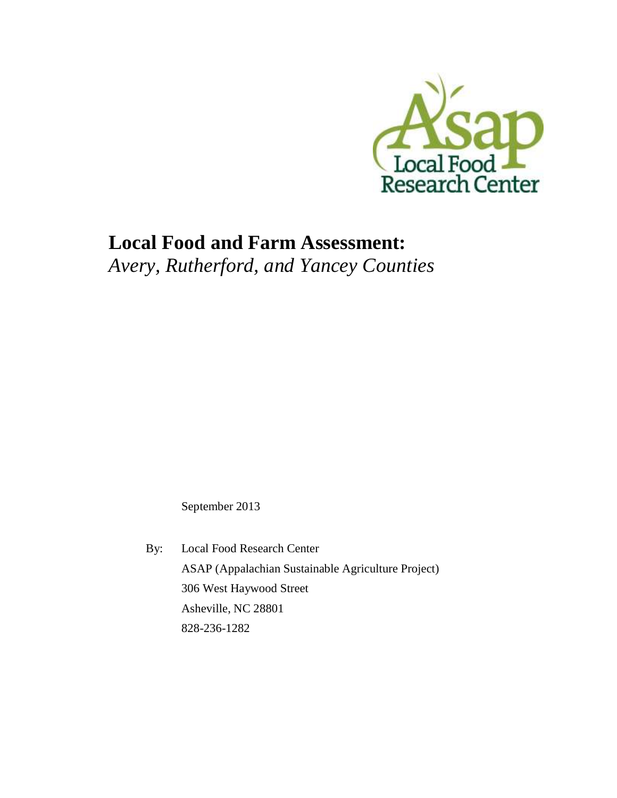

# **Local Food and Farm Assessment:** *Avery, Rutherford, and Yancey Counties*

September 2013

By: Local Food Research Center ASAP (Appalachian Sustainable Agriculture Project) 306 West Haywood Street Asheville, NC 28801 828-236-1282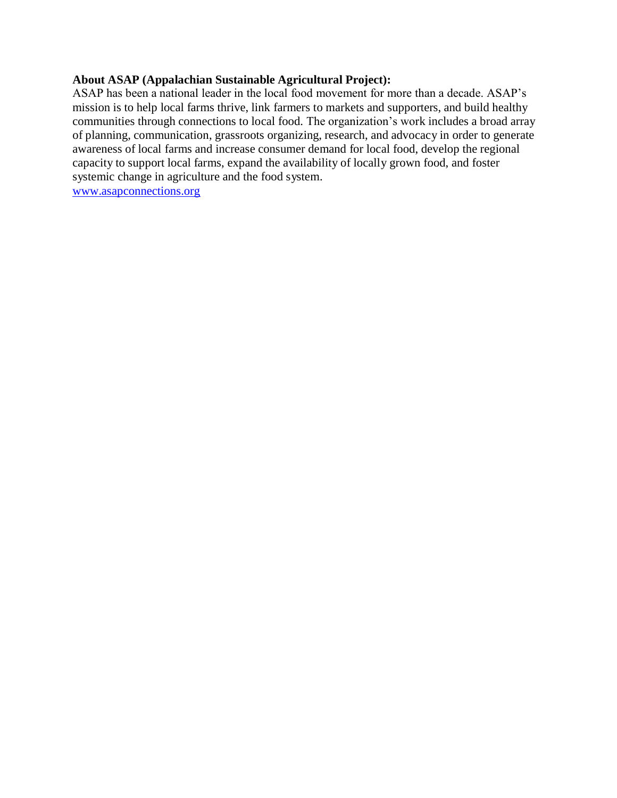#### **About ASAP (Appalachian Sustainable Agricultural Project):**

ASAP has been a national leader in the local food movement for more than a decade. ASAP's mission is to help local farms thrive, link farmers to markets and supporters, and build healthy communities through connections to local food. The organization's work includes a broad array of planning, communication, grassroots organizing, research, and advocacy in order to generate awareness of local farms and increase consumer demand for local food, develop the regional capacity to support local farms, expand the availability of locally grown food, and foster systemic change in agriculture and the food system.

[www.asapconnections.org](http://www.asapconnections.org/)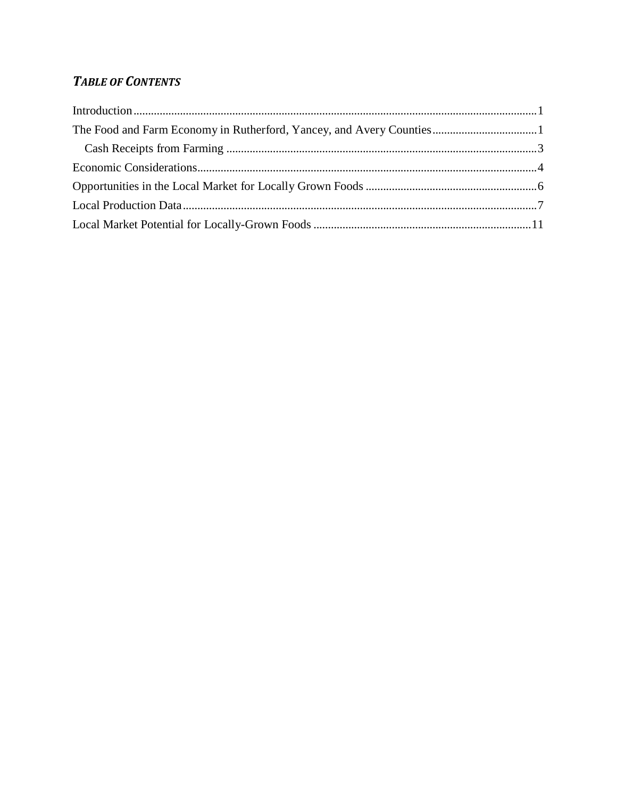# **TABLE OF CONTENTS**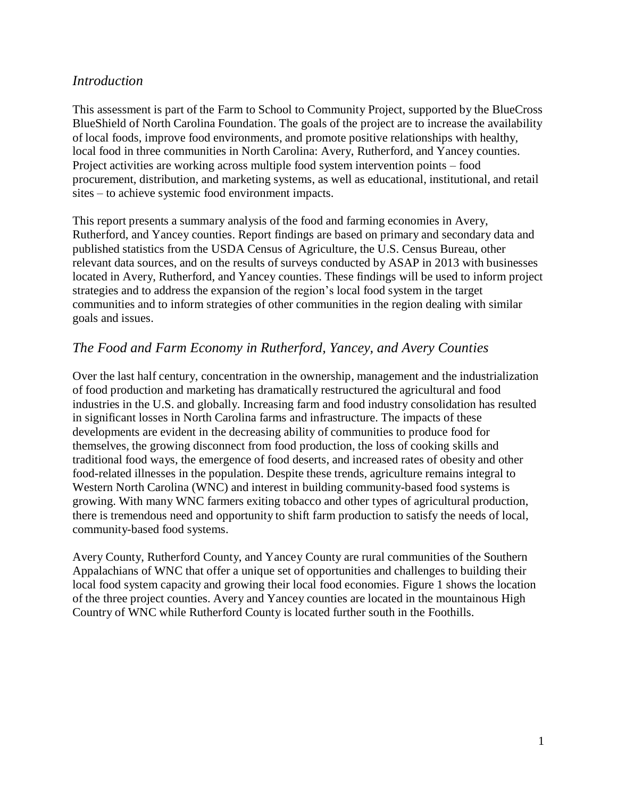## <span id="page-3-0"></span>*Introduction*

This assessment is part of the Farm to School to Community Project, supported by the BlueCross BlueShield of North Carolina Foundation. The goals of the project are to increase the availability of local foods, improve food environments, and promote positive relationships with healthy, local food in three communities in North Carolina: Avery, Rutherford, and Yancey counties. Project activities are working across multiple food system intervention points – food procurement, distribution, and marketing systems, as well as educational, institutional, and retail sites – to achieve systemic food environment impacts.

This report presents a summary analysis of the food and farming economies in Avery, Rutherford, and Yancey counties. Report findings are based on primary and secondary data and published statistics from the USDA Census of Agriculture, the U.S. Census Bureau, other relevant data sources, and on the results of surveys conducted by ASAP in 2013 with businesses located in Avery, Rutherford, and Yancey counties. These findings will be used to inform project strategies and to address the expansion of the region's local food system in the target communities and to inform strategies of other communities in the region dealing with similar goals and issues.

# <span id="page-3-1"></span>*The Food and Farm Economy in Rutherford, Yancey, and Avery Counties*

Over the last half century, concentration in the ownership, management and the industrialization of food production and marketing has dramatically restructured the agricultural and food industries in the U.S. and globally. Increasing farm and food industry consolidation has resulted in significant losses in North Carolina farms and infrastructure. The impacts of these developments are evident in the decreasing ability of communities to produce food for themselves, the growing disconnect from food production, the loss of cooking skills and traditional food ways, the emergence of food deserts, and increased rates of obesity and other food-related illnesses in the population. Despite these trends, agriculture remains integral to Western North Carolina (WNC) and interest in building community-based food systems is growing. With many WNC farmers exiting tobacco and other types of agricultural production, there is tremendous need and opportunity to shift farm production to satisfy the needs of local, community-based food systems.

Avery County, Rutherford County, and Yancey County are rural communities of the Southern Appalachians of WNC that offer a unique set of opportunities and challenges to building their local food system capacity and growing their local food economies. Figure 1 shows the location of the three project counties. Avery and Yancey counties are located in the mountainous High Country of WNC while Rutherford County is located further south in the Foothills.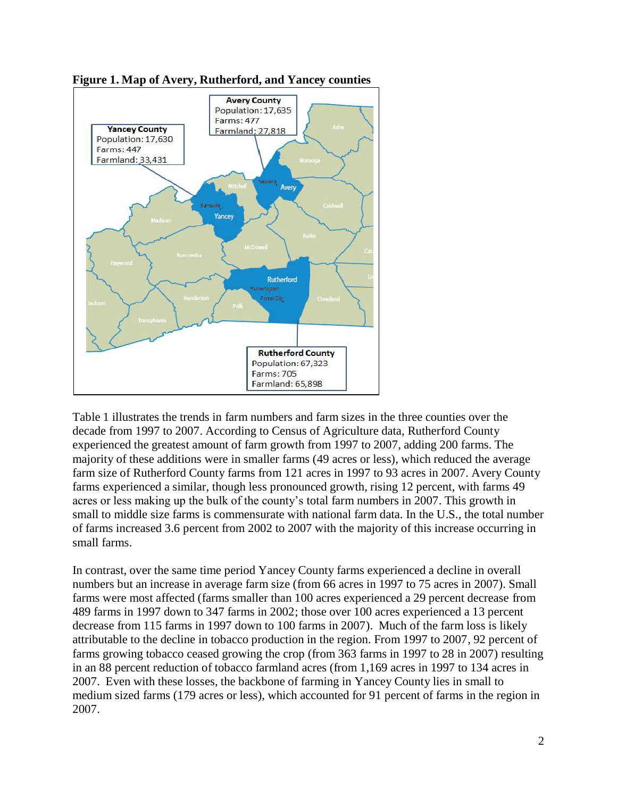

**Figure 1. Map of Avery, Rutherford, and Yancey counties**

Table 1 illustrates the trends in farm numbers and farm sizes in the three counties over the decade from 1997 to 2007. According to Census of Agriculture data, Rutherford County experienced the greatest amount of farm growth from 1997 to 2007, adding 200 farms. The majority of these additions were in smaller farms (49 acres or less), which reduced the average farm size of Rutherford County farms from 121 acres in 1997 to 93 acres in 2007. Avery County farms experienced a similar, though less pronounced growth, rising 12 percent, with farms 49 acres or less making up the bulk of the county's total farm numbers in 2007. This growth in small to middle size farms is commensurate with national farm data. In the U.S., the total number of farms increased 3.6 percent from 2002 to 2007 with the majority of this increase occurring in small farms.

In contrast, over the same time period Yancey County farms experienced a decline in overall numbers but an increase in average farm size (from 66 acres in 1997 to 75 acres in 2007). Small farms were most affected (farms smaller than 100 acres experienced a 29 percent decrease from 489 farms in 1997 down to 347 farms in 2002; those over 100 acres experienced a 13 percent decrease from 115 farms in 1997 down to 100 farms in 2007). Much of the farm loss is likely attributable to the decline in tobacco production in the region. From 1997 to 2007, 92 percent of farms growing tobacco ceased growing the crop (from 363 farms in 1997 to 28 in 2007) resulting in an 88 percent reduction of tobacco farmland acres (from 1,169 acres in 1997 to 134 acres in 2007. Even with these losses, the backbone of farming in Yancey County lies in small to medium sized farms (179 acres or less), which accounted for 91 percent of farms in the region in 2007.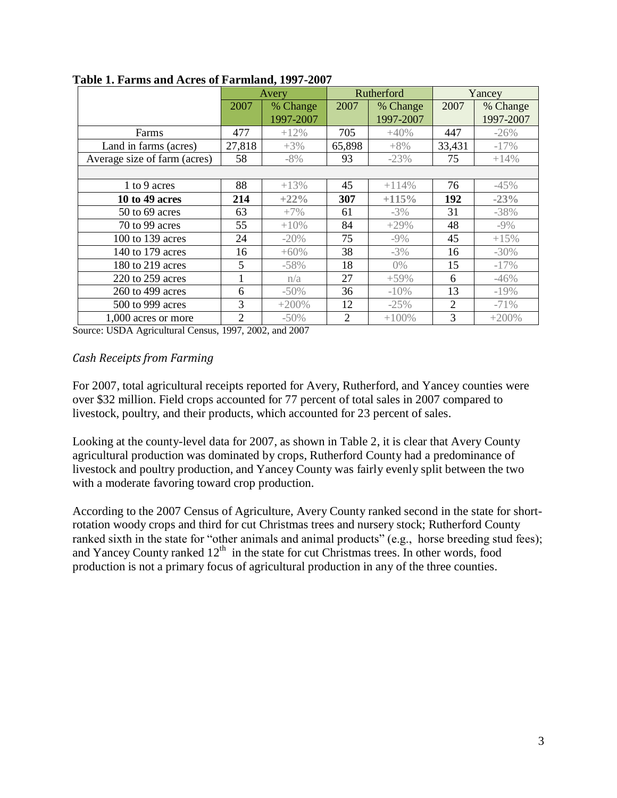|                              | Avery          |           | Rutherford     |           | Yancey |           |
|------------------------------|----------------|-----------|----------------|-----------|--------|-----------|
|                              | 2007           | % Change  | 2007           | % Change  | 2007   | % Change  |
|                              |                | 1997-2007 |                | 1997-2007 |        | 1997-2007 |
| Farms                        | 477            | $+12\%$   | 705            | $+40%$    | 447    | $-26%$    |
| Land in farms (acres)        | 27,818         | $+3\%$    | 65,898         | $+8\%$    | 33,431 | $-17%$    |
| Average size of farm (acres) | 58             | $-8%$     | 93             | $-23%$    | 75     | $+14%$    |
|                              |                |           |                |           |        |           |
| 1 to 9 acres                 | 88             | $+13%$    | 45             | $+114%$   | 76     | $-45%$    |
| 10 to 49 acres               | 214            | $+22%$    | 307            | $+115%$   | 192    | $-23%$    |
| 50 to 69 acres               | 63             | $+7\%$    | 61             | $-3\%$    | 31     | $-38%$    |
| 70 to 99 acres               | 55             | $+10%$    | 84             | $+29%$    | 48     | $-9\%$    |
| 100 to 139 acres             | 24             | $-20%$    | 75             | $-9\%$    | 45     | $+15%$    |
| 140 to 179 acres             | 16             | $+60%$    | 38             | $-3%$     | 16     | $-30\%$   |
| 180 to 219 acres             | 5              | $-58%$    | 18             | $0\%$     | 15     | $-17%$    |
| 220 to 259 acres             | 1              | n/a       | 27             | $+59%$    | 6      | $-46%$    |
| 260 to 499 acres             | 6              | $-50\%$   | 36             | $-10%$    | 13     | $-19%$    |
| 500 to 999 acres             | 3              | $+200%$   | 12             | $-25%$    | 2      | $-71%$    |
| 1,000 acres or more          | $\overline{2}$ | $-50\%$   | $\overline{2}$ | $+100%$   | 3      | $+200%$   |

**Table 1. Farms and Acres of Farmland, 1997-2007**

Source: USDA Agricultural Census, 1997, 2002, and 2007

#### <span id="page-5-0"></span>*Cash Receipts from Farming*

For 2007, total agricultural receipts reported for Avery, Rutherford, and Yancey counties were over \$32 million. Field crops accounted for 77 percent of total sales in 2007 compared to livestock, poultry, and their products, which accounted for 23 percent of sales.

Looking at the county-level data for 2007, as shown in Table 2, it is clear that Avery County agricultural production was dominated by crops, Rutherford County had a predominance of livestock and poultry production, and Yancey County was fairly evenly split between the two with a moderate favoring toward crop production.

According to the 2007 Census of Agriculture, Avery County ranked second in the state for shortrotation woody crops and third for cut Christmas trees and nursery stock; Rutherford County ranked sixth in the state for "other animals and animal products" (e.g., horse breeding stud fees); and Yancey County ranked 12<sup>th</sup> in the state for cut Christmas trees. In other words, food production is not a primary focus of agricultural production in any of the three counties.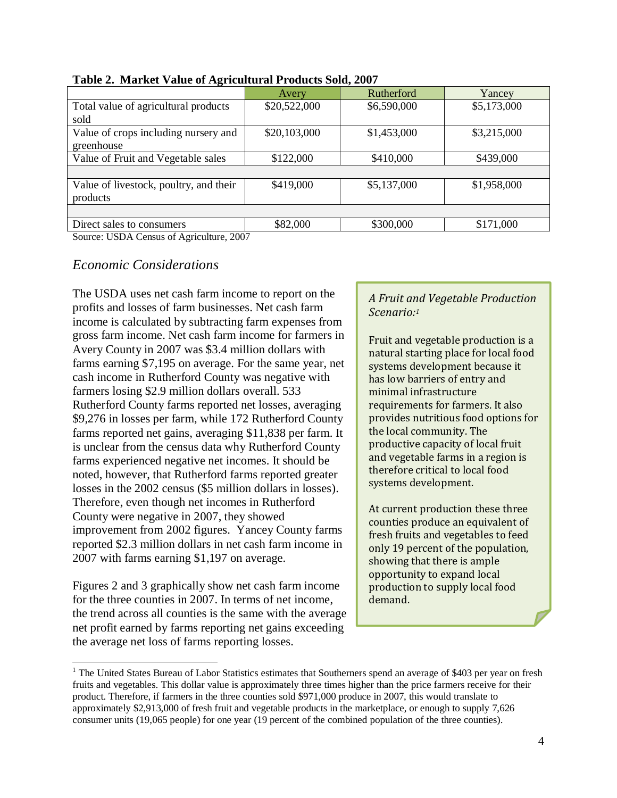| ັ                                      | Avery        | Rutherford  | Yancey      |
|----------------------------------------|--------------|-------------|-------------|
| Total value of agricultural products   | \$20,522,000 | \$6,590,000 | \$5,173,000 |
| sold                                   |              |             |             |
| Value of crops including nursery and   | \$20,103,000 | \$1,453,000 | \$3,215,000 |
| greenhouse                             |              |             |             |
| Value of Fruit and Vegetable sales     | \$122,000    | \$410,000   | \$439,000   |
|                                        |              |             |             |
| Value of livestock, poultry, and their | \$419,000    | \$5,137,000 | \$1,958,000 |
| products                               |              |             |             |
|                                        |              |             |             |
| Direct sales to consumers              | \$82,000     | \$300,000   | \$171,000   |



Source: USDA Census of Agriculture, 2007

#### <span id="page-6-0"></span>*Economic Considerations*

The USDA uses net cash farm income to report on the profits and losses of farm businesses. Net cash farm income is calculated by subtracting farm expenses from gross farm income. Net cash farm income for farmers in Avery County in 2007 was \$3.4 million dollars with farms earning \$7,195 on average. For the same year, net cash income in Rutherford County was negative with farmers losing \$2.9 million dollars overall. 533 Rutherford County farms reported net losses, averaging \$9,276 in losses per farm, while 172 Rutherford County farms reported net gains, averaging \$11,838 per farm. It is unclear from the census data why Rutherford County farms experienced negative net incomes. It should be noted, however, that Rutherford farms reported greater losses in the 2002 census (\$5 million dollars in losses). Therefore, even though net incomes in Rutherford County were negative in 2007, they showed improvement from 2002 figures. Yancey County farms reported \$2.3 million dollars in net cash farm income in 2007 with farms earning \$1,197 on average.

Figures 2 and 3 graphically show net cash farm income for the three counties in 2007. In terms of net income, the trend across all counties is the same with the average net profit earned by farms reporting net gains exceeding the average net loss of farms reporting losses. <sup>1</sup>

 $\overline{a}$ 

#### *A Fruit and Vegetable Production Scenario: 1*

Fruit and vegetable production is a natural starting place for local food systems development because it has low barriers of entry and minimal infrastructure requirements for farmers. It also provides nutritious food options for the local community. The productive capacity of local fruit and vegetable farms in a region is therefore critical to local food systems development.

At current production these three counties produce an equivalent of fresh fruits and vegetables to feed only 19 percent of the population, showing that there is ample opportunity to expand local production to supply local food demand.

<sup>&</sup>lt;sup>1</sup> The United States Bureau of Labor Statistics estimates that Southerners spend an average of \$403 per year on fresh fruits and vegetables. This dollar value is approximately three times higher than the price farmers receive for their product. Therefore, if farmers in the three counties sold \$971,000 produce in 2007, this would translate to approximately \$2,913,000 of fresh fruit and vegetable products in the marketplace, or enough to supply 7,626 consumer units (19,065 people) for one year (19 percent of the combined population of the three counties).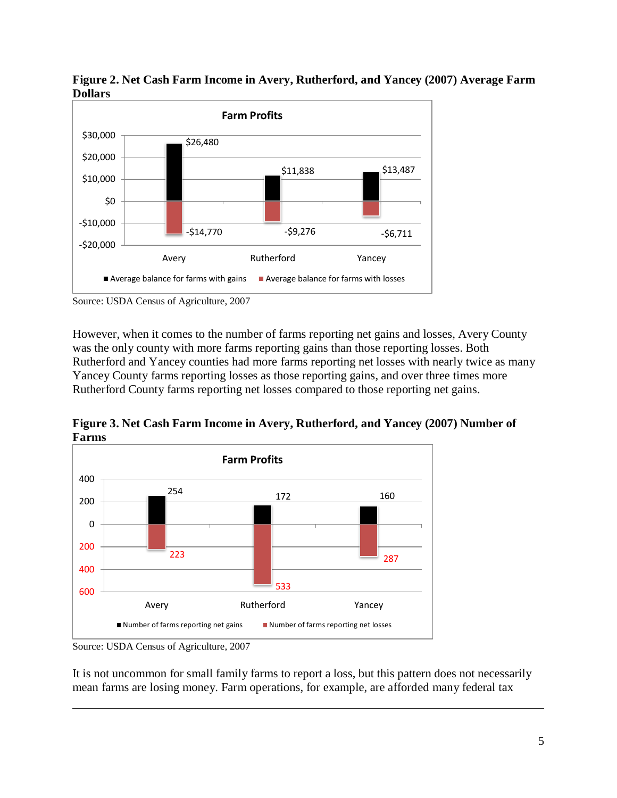

**Figure 2. Net Cash Farm Income in Avery, Rutherford, and Yancey (2007) Average Farm Dollars**

However, when it comes to the number of farms reporting net gains and losses, Avery County was the only county with more farms reporting gains than those reporting losses. Both Rutherford and Yancey counties had more farms reporting net losses with nearly twice as many Yancey County farms reporting losses as those reporting gains, and over three times more Rutherford County farms reporting net losses compared to those reporting net gains.

**Figure 3. Net Cash Farm Income in Avery, Rutherford, and Yancey (2007) Number of Farms**



Source: USDA Census of Agriculture, 2007

 $\overline{a}$ 

It is not uncommon for small family farms to report a loss, but this pattern does not necessarily mean farms are losing money. Farm operations, for example, are afforded many federal tax

Source: USDA Census of Agriculture, 2007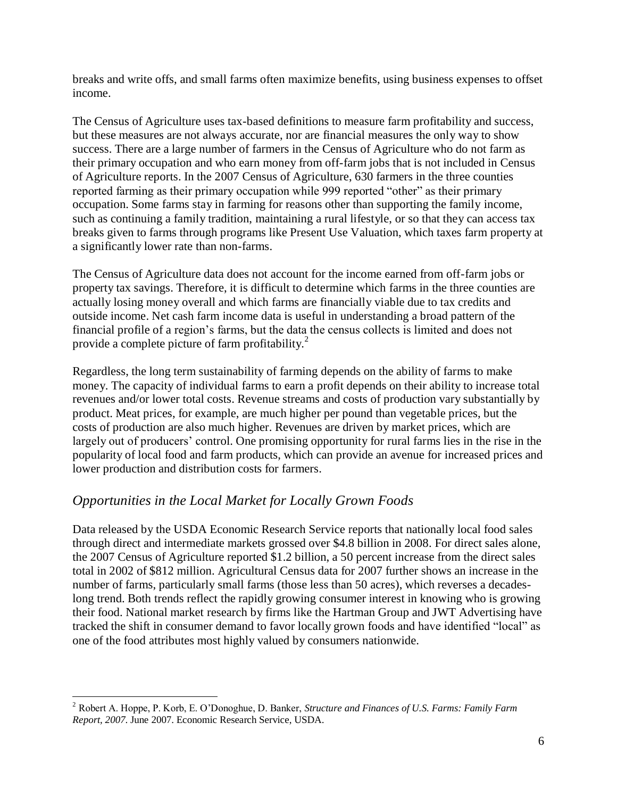breaks and write offs, and small farms often maximize benefits, using business expenses to offset income.

The Census of Agriculture uses tax-based definitions to measure farm profitability and success, but these measures are not always accurate, nor are financial measures the only way to show success. There are a large number of farmers in the Census of Agriculture who do not farm as their primary occupation and who earn money from off-farm jobs that is not included in Census of Agriculture reports. In the 2007 Census of Agriculture, 630 farmers in the three counties reported farming as their primary occupation while 999 reported "other" as their primary occupation. Some farms stay in farming for reasons other than supporting the family income, such as continuing a family tradition, maintaining a rural lifestyle, or so that they can access tax breaks given to farms through programs like Present Use Valuation, which taxes farm property at a significantly lower rate than non-farms.

The Census of Agriculture data does not account for the income earned from off-farm jobs or property tax savings. Therefore, it is difficult to determine which farms in the three counties are actually losing money overall and which farms are financially viable due to tax credits and outside income. Net cash farm income data is useful in understanding a broad pattern of the financial profile of a region's farms, but the data the census collects is limited and does not provide a complete picture of farm profitability.<sup>2</sup>

Regardless, the long term sustainability of farming depends on the ability of farms to make money. The capacity of individual farms to earn a profit depends on their ability to increase total revenues and/or lower total costs. Revenue streams and costs of production vary substantially by product. Meat prices, for example, are much higher per pound than vegetable prices, but the costs of production are also much higher. Revenues are driven by market prices, which are largely out of producers' control. One promising opportunity for rural farms lies in the rise in the popularity of local food and farm products, which can provide an avenue for increased prices and lower production and distribution costs for farmers.

# <span id="page-8-0"></span>*Opportunities in the Local Market for Locally Grown Foods*

Data released by the USDA Economic Research Service reports that nationally local food sales through direct and intermediate markets grossed over \$4.8 billion in 2008. For direct sales alone, the 2007 Census of Agriculture reported \$1.2 billion, a 50 percent increase from the direct sales total in 2002 of \$812 million. Agricultural Census data for 2007 further shows an increase in the number of farms, particularly small farms (those less than 50 acres), which reverses a decadeslong trend. Both trends reflect the rapidly growing consumer interest in knowing who is growing their food. National market research by firms like the Hartman Group and JWT Advertising have tracked the shift in consumer demand to favor locally grown foods and have identified "local" as one of the food attributes most highly valued by consumers nationwide.

 $\overline{a}$ <sup>2</sup> Robert A. Hoppe, P. Korb, E. O'Donoghue, D. Banker, *Structure and Finances of U.S. Farms: Family Farm Report, 2007*. June 2007. Economic Research Service, USDA.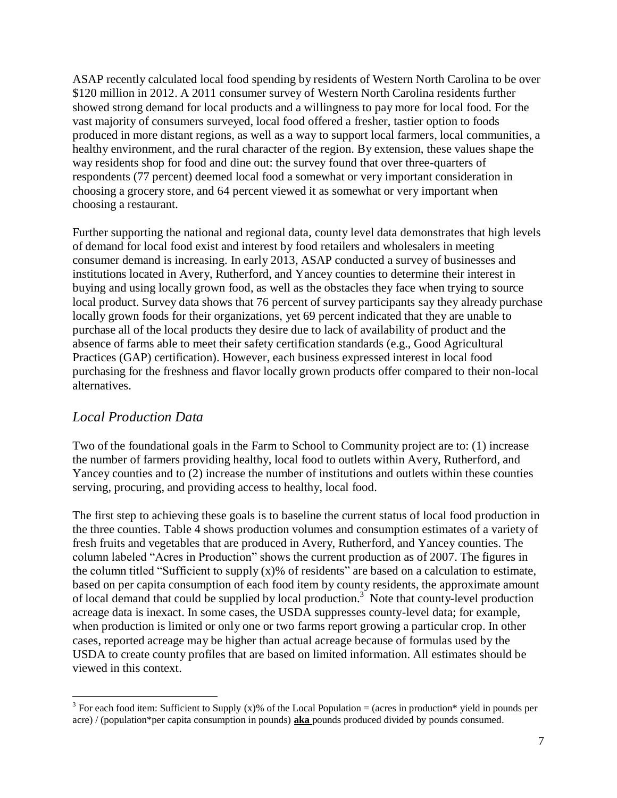ASAP recently calculated local food spending by residents of Western North Carolina to be over \$120 million in 2012. A 2011 consumer survey of Western North Carolina residents further showed strong demand for local products and a willingness to pay more for local food. For the vast majority of consumers surveyed, local food offered a fresher, tastier option to foods produced in more distant regions, as well as a way to support local farmers, local communities, a healthy environment, and the rural character of the region. By extension, these values shape the way residents shop for food and dine out: the survey found that over three-quarters of respondents (77 percent) deemed local food a somewhat or very important consideration in choosing a grocery store, and 64 percent viewed it as somewhat or very important when choosing a restaurant.

Further supporting the national and regional data, county level data demonstrates that high levels of demand for local food exist and interest by food retailers and wholesalers in meeting consumer demand is increasing. In early 2013, ASAP conducted a survey of businesses and institutions located in Avery, Rutherford, and Yancey counties to determine their interest in buying and using locally grown food, as well as the obstacles they face when trying to source local product. Survey data shows that 76 percent of survey participants say they already purchase locally grown foods for their organizations, yet 69 percent indicated that they are unable to purchase all of the local products they desire due to lack of availability of product and the absence of farms able to meet their safety certification standards (e.g., Good Agricultural Practices (GAP) certification). However, each business expressed interest in local food purchasing for the freshness and flavor locally grown products offer compared to their non-local alternatives.

#### <span id="page-9-0"></span>*Local Production Data*

 $\overline{a}$ 

Two of the foundational goals in the Farm to School to Community project are to: (1) increase the number of farmers providing healthy, local food to outlets within Avery, Rutherford, and Yancey counties and to (2) increase the number of institutions and outlets within these counties serving, procuring, and providing access to healthy, local food.

The first step to achieving these goals is to baseline the current status of local food production in the three counties. Table 4 shows production volumes and consumption estimates of a variety of fresh fruits and vegetables that are produced in Avery, Rutherford, and Yancey counties. The column labeled "Acres in Production" shows the current production as of 2007. The figures in the column titled "Sufficient to supply  $(x)$ % of residents" are based on a calculation to estimate, based on per capita consumption of each food item by county residents, the approximate amount of local demand that could be supplied by local production.<sup>3</sup> Note that county-level production acreage data is inexact. In some cases, the USDA suppresses county-level data; for example, when production is limited or only one or two farms report growing a particular crop. In other cases, reported acreage may be higher than actual acreage because of formulas used by the USDA to create county profiles that are based on limited information. All estimates should be viewed in this context.

<sup>&</sup>lt;sup>3</sup> For each food item: Sufficient to Supply (x)% of the Local Population = (acres in production\* yield in pounds per acre) / (population\*per capita consumption in pounds) **aka** pounds produced divided by pounds consumed.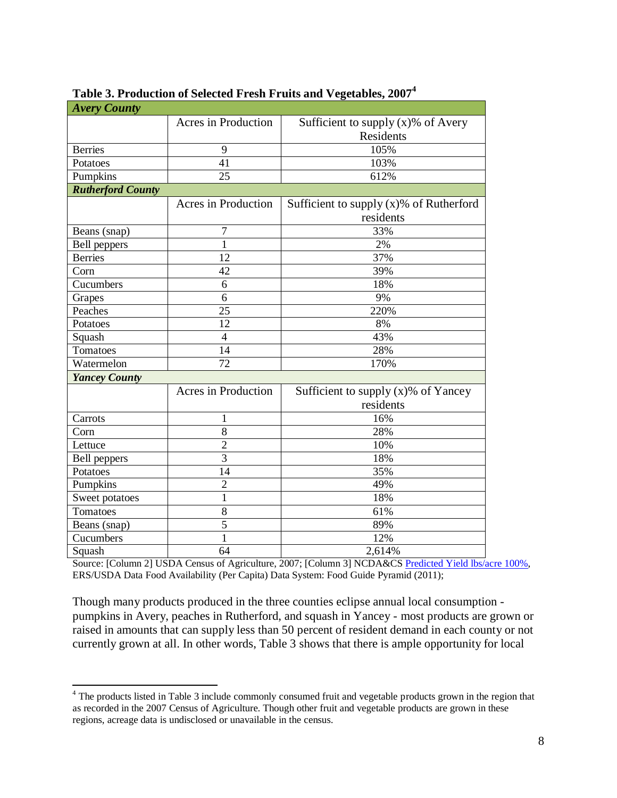| <b>Avery County</b>      |                     |                                            |
|--------------------------|---------------------|--------------------------------------------|
|                          | Acres in Production | Sufficient to supply $(x)$ % of Avery      |
|                          |                     | Residents                                  |
| <b>Berries</b>           | 9                   | 105%                                       |
| Potatoes                 | 41                  | 103%                                       |
| Pumpkins                 | 25                  | 612%                                       |
| <b>Rutherford County</b> |                     |                                            |
|                          | Acres in Production | Sufficient to supply $(x)$ % of Rutherford |
|                          |                     | residents                                  |
| Beans (snap)             | 7                   | 33%                                        |
| Bell peppers             | 1                   | 2%                                         |
| <b>Berries</b>           | 12                  | 37%                                        |
| Corn                     | 42                  | 39%                                        |
| Cucumbers                | 6                   | 18%                                        |
| Grapes                   | 6                   | 9%                                         |
| Peaches                  | 25                  | 220%                                       |
| Potatoes                 | 12                  | 8%                                         |
| Squash                   | $\overline{4}$      | 43%                                        |
| Tomatoes                 | 14                  | 28%                                        |
| Watermelon               | $\overline{72}$     | 170%                                       |
| <b>Yancey County</b>     |                     |                                            |
|                          | Acres in Production | Sufficient to supply $(x)$ % of Yancey     |
|                          |                     | residents                                  |
| Carrots                  | 1                   | 16%                                        |
| Corn                     | 8                   | 28%                                        |
| Lettuce                  | $\overline{c}$      | 10%                                        |
| <b>Bell</b> peppers      | $\overline{3}$      | 18%                                        |
| Potatoes                 | 14                  | 35%                                        |
| Pumpkins                 | $\overline{2}$      | 49%                                        |
| Sweet potatoes           | $\mathbf{1}$        | 18%                                        |
| Tomatoes                 | 8                   | 61%                                        |
| Beans (snap)             | $\overline{5}$      | 89%                                        |
| Cucumbers                | $\mathbf{1}$        | 12%                                        |
| Squash                   | 64                  | 2,614%                                     |

## **Table 3. Production of Selected Fresh Fruits and Vegetables, 2007<sup>4</sup>**

Source: [Column 2] USDA Census of Agriculture, 2007; [Column 3] NCDA&CS [Predicted Yield lbs/acre 100%,](http://www.ncagr.gov/stats/2010AgStat/Page057_082.pdf) ERS/USDA Data Food Availability (Per Capita) Data System: Food Guide Pyramid (2011);

Though many products produced in the three counties eclipse annual local consumption pumpkins in Avery, peaches in Rutherford, and squash in Yancey - most products are grown or raised in amounts that can supply less than 50 percent of resident demand in each county or not currently grown at all. In other words, Table 3 shows that there is ample opportunity for local

 $\overline{a}$ 

<sup>&</sup>lt;sup>4</sup> The products listed in Table 3 include commonly consumed fruit and vegetable products grown in the region that as recorded in the 2007 Census of Agriculture. Though other fruit and vegetable products are grown in these regions, acreage data is undisclosed or unavailable in the census.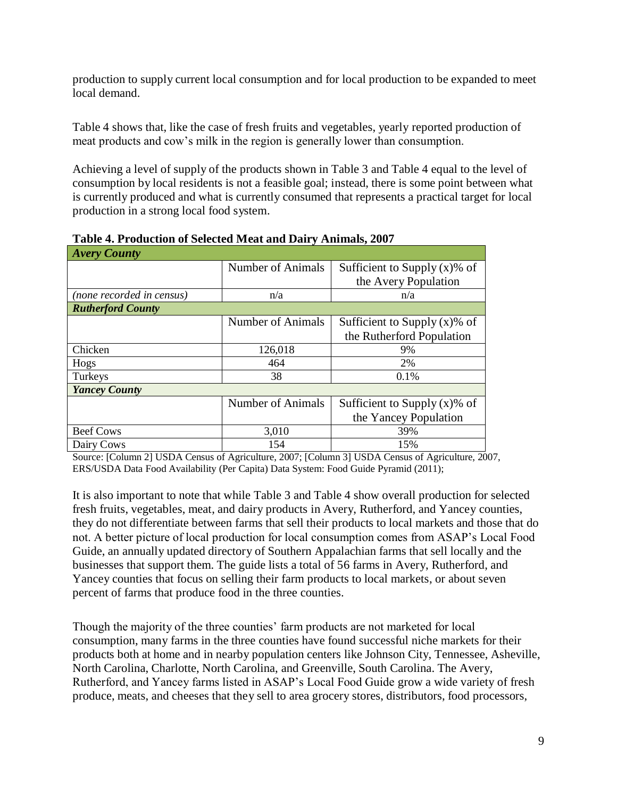production to supply current local consumption and for local production to be expanded to meet local demand.

Table 4 shows that, like the case of fresh fruits and vegetables, yearly reported production of meat products and cow's milk in the region is generally lower than consumption.

Achieving a level of supply of the products shown in Table 3 and Table 4 equal to the level of consumption by local residents is not a feasible goal; instead, there is some point between what is currently produced and what is currently consumed that represents a practical target for local production in a strong local food system.

| <b>Avery County</b>       |                   |                                 |
|---------------------------|-------------------|---------------------------------|
|                           | Number of Animals | Sufficient to Supply $(x)$ % of |
|                           |                   | the Avery Population            |
| (none recorded in census) | n/a               | n/a                             |
| <b>Rutherford County</b>  |                   |                                 |
|                           | Number of Animals | Sufficient to Supply $(x)$ % of |
|                           |                   | the Rutherford Population       |
| Chicken                   | 126,018           | 9%                              |
| Hogs                      | 464               | 2%                              |
| Turkeys                   | 38                | 0.1%                            |
| <b>Yancey County</b>      |                   |                                 |
|                           | Number of Animals | Sufficient to Supply $(x)$ % of |
|                           |                   | the Yancey Population           |
| <b>Beef Cows</b>          | 3,010             | 39%                             |
| Dairy Cows                | 154               | 15%                             |

**Table 4. Production of Selected Meat and Dairy Animals, 2007**

Source: [Column 2] USDA Census of Agriculture, 2007; [Column 3] USDA Census of Agriculture, 2007, ERS/USDA Data Food Availability (Per Capita) Data System: Food Guide Pyramid (2011);

It is also important to note that while Table 3 and Table 4 show overall production for selected fresh fruits, vegetables, meat, and dairy products in Avery, Rutherford, and Yancey counties, they do not differentiate between farms that sell their products to local markets and those that do not. A better picture of local production for local consumption comes from ASAP's Local Food Guide, an annually updated directory of Southern Appalachian farms that sell locally and the businesses that support them. The guide lists a total of 56 farms in Avery, Rutherford, and Yancey counties that focus on selling their farm products to local markets, or about seven percent of farms that produce food in the three counties.

Though the majority of the three counties' farm products are not marketed for local consumption, many farms in the three counties have found successful niche markets for their products both at home and in nearby population centers like Johnson City, Tennessee, Asheville, North Carolina, Charlotte, North Carolina, and Greenville, South Carolina. The Avery, Rutherford, and Yancey farms listed in ASAP's Local Food Guide grow a wide variety of fresh produce, meats, and cheeses that they sell to area grocery stores, distributors, food processors,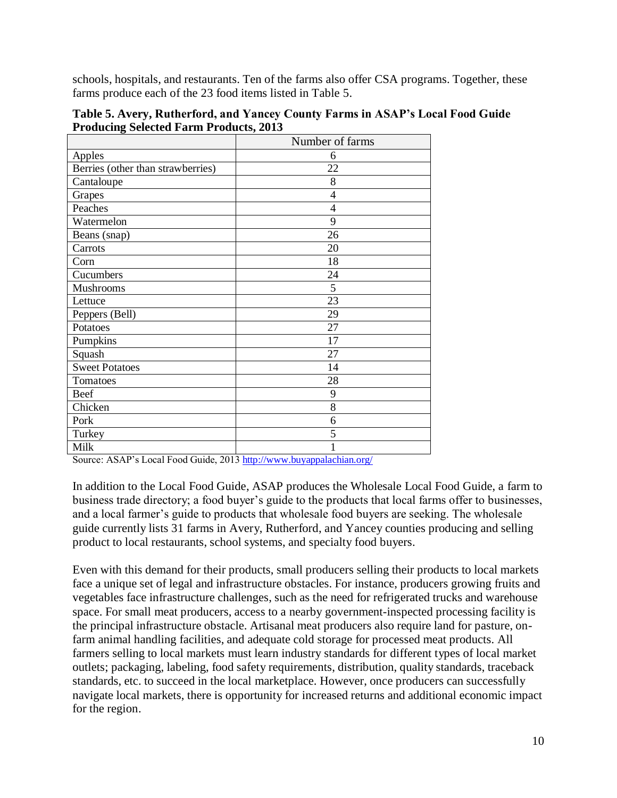schools, hospitals, and restaurants. Ten of the farms also offer CSA programs. Together, these farms produce each of the 23 food items listed in Table 5.

| Table 5. Avery, Rutherford, and Yancey County Farms in ASAP's Local Food Guide |  |
|--------------------------------------------------------------------------------|--|
| <b>Producing Selected Farm Products, 2013</b>                                  |  |

|                                   | Number of farms |
|-----------------------------------|-----------------|
| Apples                            | 6               |
| Berries (other than strawberries) | 22              |
| Cantaloupe                        | 8               |
| Grapes                            | $\overline{4}$  |
| Peaches                           | $\overline{4}$  |
| Watermelon                        | 9               |
| Beans (snap)                      | 26              |
| Carrots                           | 20              |
| Corn                              | 18              |
| Cucumbers                         | 24              |
| Mushrooms                         | 5               |
| Lettuce                           | 23              |
| Peppers (Bell)                    | 29              |
| Potatoes                          | 27              |
| Pumpkins                          | 17              |
| Squash                            | 27              |
| <b>Sweet Potatoes</b>             | 14              |
| Tomatoes                          | 28              |
| Beef                              | 9               |
| Chicken                           | 8               |
| Pork                              | 6               |
| Turkey                            | 5               |
| Milk                              | 1               |

Source: ASAP's Local Food Guide, 201[3 http://www.buyappalachian.org/](http://www.buyappalachian.org/)

In addition to the Local Food Guide, ASAP produces the Wholesale Local Food Guide, a farm to business trade directory; a food buyer's guide to the products that local farms offer to businesses, and a local farmer's guide to products that wholesale food buyers are seeking. The wholesale guide currently lists 31 farms in Avery, Rutherford, and Yancey counties producing and selling product to local restaurants, school systems, and specialty food buyers.

Even with this demand for their products, small producers selling their products to local markets face a unique set of legal and infrastructure obstacles. For instance, producers growing fruits and vegetables face infrastructure challenges, such as the need for refrigerated trucks and warehouse space. For small meat producers, access to a nearby government-inspected processing facility is the principal infrastructure obstacle. Artisanal meat producers also require land for pasture, onfarm animal handling facilities, and adequate cold storage for processed meat products. All farmers selling to local markets must learn industry standards for different types of local market outlets; packaging, labeling, food safety requirements, distribution, quality standards, traceback standards, etc. to succeed in the local marketplace. However, once producers can successfully navigate local markets, there is opportunity for increased returns and additional economic impact for the region.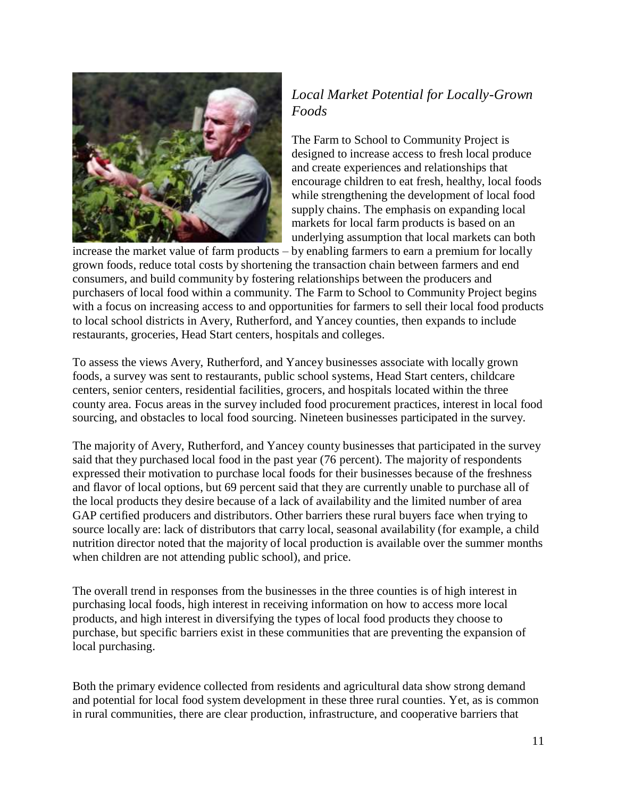

# <span id="page-13-0"></span>*Local Market Potential for Locally-Grown Foods*

The Farm to School to Community Project is designed to increase access to fresh local produce and create experiences and relationships that encourage children to eat fresh, healthy, local foods while strengthening the development of local food supply chains. The emphasis on expanding local markets for local farm products is based on an underlying assumption that local markets can both

increase the market value of farm products – by enabling farmers to earn a premium for locally grown foods, reduce total costs by shortening the transaction chain between farmers and end consumers, and build community by fostering relationships between the producers and purchasers of local food within a community. The Farm to School to Community Project begins with a focus on increasing access to and opportunities for farmers to sell their local food products to local school districts in Avery, Rutherford, and Yancey counties, then expands to include restaurants, groceries, Head Start centers, hospitals and colleges.

To assess the views Avery, Rutherford, and Yancey businesses associate with locally grown foods, a survey was sent to restaurants, public school systems, Head Start centers, childcare centers, senior centers, residential facilities, grocers, and hospitals located within the three county area. Focus areas in the survey included food procurement practices, interest in local food sourcing, and obstacles to local food sourcing. Nineteen businesses participated in the survey.

The majority of Avery, Rutherford, and Yancey county businesses that participated in the survey said that they purchased local food in the past year (76 percent). The majority of respondents expressed their motivation to purchase local foods for their businesses because of the freshness and flavor of local options, but 69 percent said that they are currently unable to purchase all of the local products they desire because of a lack of availability and the limited number of area GAP certified producers and distributors. Other barriers these rural buyers face when trying to source locally are: lack of distributors that carry local, seasonal availability (for example, a child nutrition director noted that the majority of local production is available over the summer months when children are not attending public school), and price.

The overall trend in responses from the businesses in the three counties is of high interest in purchasing local foods, high interest in receiving information on how to access more local products, and high interest in diversifying the types of local food products they choose to purchase, but specific barriers exist in these communities that are preventing the expansion of local purchasing.

Both the primary evidence collected from residents and agricultural data show strong demand and potential for local food system development in these three rural counties. Yet, as is common in rural communities, there are clear production, infrastructure, and cooperative barriers that